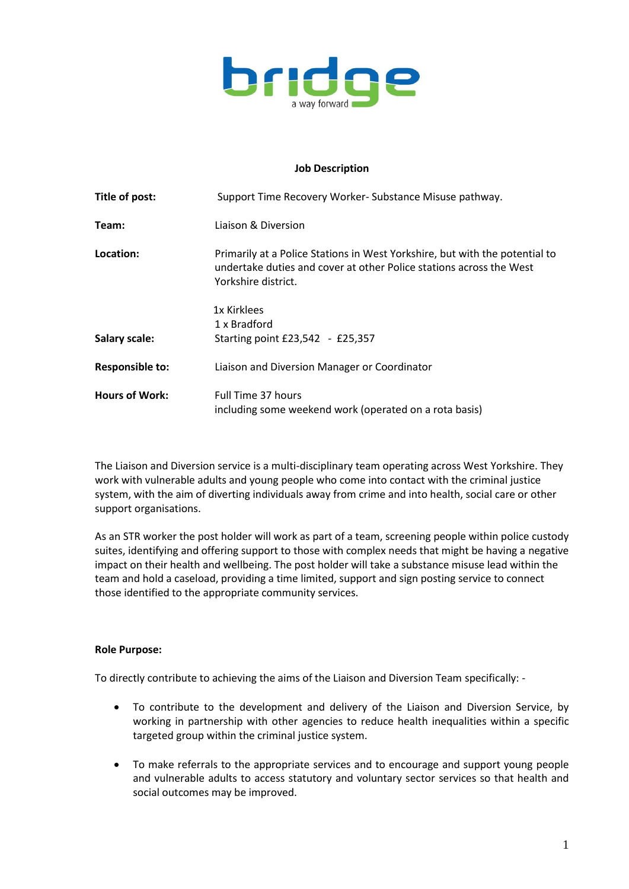

## **Job Description**

| Title of post:         | Support Time Recovery Worker-Substance Misuse pathway.                                                                                                                    |  |  |
|------------------------|---------------------------------------------------------------------------------------------------------------------------------------------------------------------------|--|--|
| Team:                  | Liaison & Diversion                                                                                                                                                       |  |  |
| Location:              | Primarily at a Police Stations in West Yorkshire, but with the potential to<br>undertake duties and cover at other Police stations across the West<br>Yorkshire district. |  |  |
|                        | 1x Kirklees                                                                                                                                                               |  |  |
|                        | 1 x Bradford                                                                                                                                                              |  |  |
| Salary scale:          | Starting point £23,542 - £25,357                                                                                                                                          |  |  |
| <b>Responsible to:</b> | Liaison and Diversion Manager or Coordinator                                                                                                                              |  |  |
| <b>Hours of Work:</b>  | Full Time 37 hours<br>including some weekend work (operated on a rota basis)                                                                                              |  |  |

The Liaison and Diversion service is a multi-disciplinary team operating across West Yorkshire. They work with vulnerable adults and young people who come into contact with the criminal justice system, with the aim of diverting individuals away from crime and into health, social care or other support organisations.

As an STR worker the post holder will work as part of a team, screening people within police custody suites, identifying and offering support to those with complex needs that might be having a negative impact on their health and wellbeing. The post holder will take a substance misuse lead within the team and hold a caseload, providing a time limited, support and sign posting service to connect those identified to the appropriate community services.

## **Role Purpose:**

To directly contribute to achieving the aims of the Liaison and Diversion Team specifically: -

- To contribute to the development and delivery of the Liaison and Diversion Service, by working in partnership with other agencies to reduce health inequalities within a specific targeted group within the criminal justice system.
- To make referrals to the appropriate services and to encourage and support young people and vulnerable adults to access statutory and voluntary sector services so that health and social outcomes may be improved.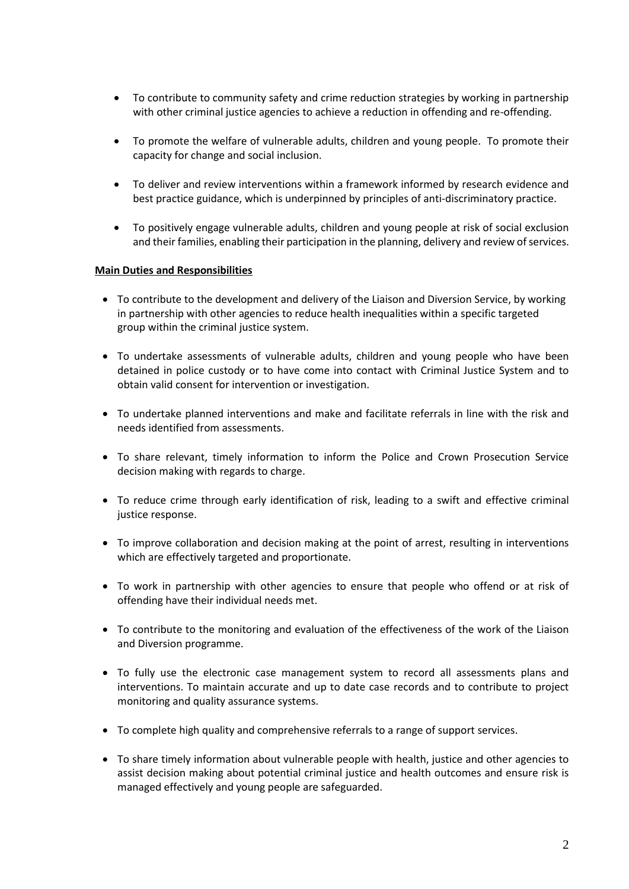- To contribute to community safety and crime reduction strategies by working in partnership with other criminal justice agencies to achieve a reduction in offending and re-offending.
- To promote the welfare of vulnerable adults, children and young people. To promote their capacity for change and social inclusion.
- To deliver and review interventions within a framework informed by research evidence and best practice guidance, which is underpinned by principles of anti-discriminatory practice.
- To positively engage vulnerable adults, children and young people at risk of social exclusion and their families, enabling their participation in the planning, delivery and review of services.

## **Main Duties and Responsibilities**

- To contribute to the development and delivery of the Liaison and Diversion Service, by working in partnership with other agencies to reduce health inequalities within a specific targeted group within the criminal justice system.
- To undertake assessments of vulnerable adults, children and young people who have been detained in police custody or to have come into contact with Criminal Justice System and to obtain valid consent for intervention or investigation.
- To undertake planned interventions and make and facilitate referrals in line with the risk and needs identified from assessments.
- To share relevant, timely information to inform the Police and Crown Prosecution Service decision making with regards to charge.
- To reduce crime through early identification of risk, leading to a swift and effective criminal justice response.
- To improve collaboration and decision making at the point of arrest, resulting in interventions which are effectively targeted and proportionate.
- To work in partnership with other agencies to ensure that people who offend or at risk of offending have their individual needs met.
- To contribute to the monitoring and evaluation of the effectiveness of the work of the Liaison and Diversion programme.
- To fully use the electronic case management system to record all assessments plans and interventions. To maintain accurate and up to date case records and to contribute to project monitoring and quality assurance systems.
- To complete high quality and comprehensive referrals to a range of support services.
- To share timely information about vulnerable people with health, justice and other agencies to assist decision making about potential criminal justice and health outcomes and ensure risk is managed effectively and young people are safeguarded.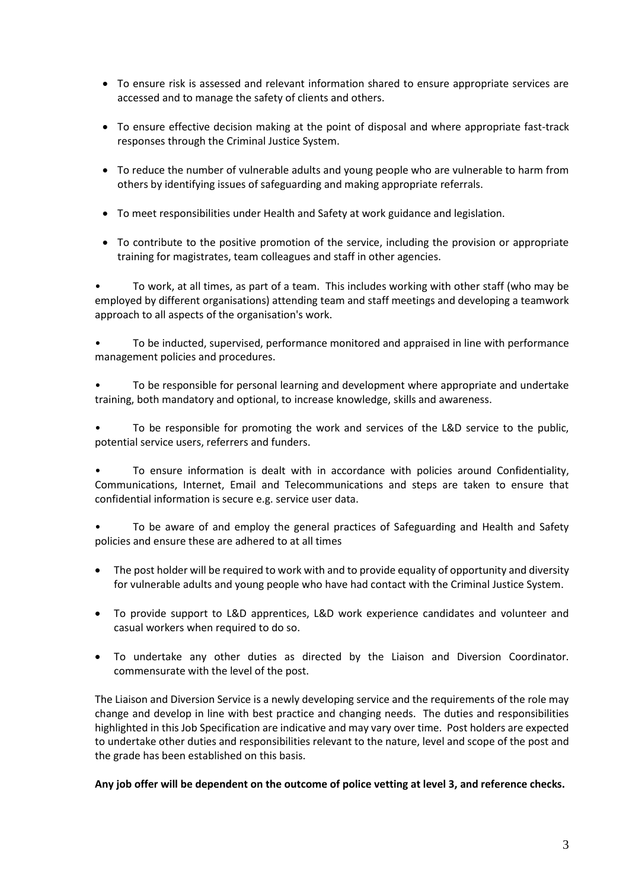- To ensure risk is assessed and relevant information shared to ensure appropriate services are accessed and to manage the safety of clients and others.
- To ensure effective decision making at the point of disposal and where appropriate fast-track responses through the Criminal Justice System.
- To reduce the number of vulnerable adults and young people who are vulnerable to harm from others by identifying issues of safeguarding and making appropriate referrals.
- To meet responsibilities under Health and Safety at work guidance and legislation.
- To contribute to the positive promotion of the service, including the provision or appropriate training for magistrates, team colleagues and staff in other agencies.

• To work, at all times, as part of a team. This includes working with other staff (who may be employed by different organisations) attending team and staff meetings and developing a teamwork approach to all aspects of the organisation's work.

• To be inducted, supervised, performance monitored and appraised in line with performance management policies and procedures.

• To be responsible for personal learning and development where appropriate and undertake training, both mandatory and optional, to increase knowledge, skills and awareness.

• To be responsible for promoting the work and services of the L&D service to the public, potential service users, referrers and funders.

• To ensure information is dealt with in accordance with policies around Confidentiality, Communications, Internet, Email and Telecommunications and steps are taken to ensure that confidential information is secure e.g. service user data.

• To be aware of and employ the general practices of Safeguarding and Health and Safety policies and ensure these are adhered to at all times

- The post holder will be required to work with and to provide equality of opportunity and diversity for vulnerable adults and young people who have had contact with the Criminal Justice System.
- To provide support to L&D apprentices, L&D work experience candidates and volunteer and casual workers when required to do so.
- To undertake any other duties as directed by the Liaison and Diversion Coordinator. commensurate with the level of the post.

The Liaison and Diversion Service is a newly developing service and the requirements of the role may change and develop in line with best practice and changing needs. The duties and responsibilities highlighted in this Job Specification are indicative and may vary over time. Post holders are expected to undertake other duties and responsibilities relevant to the nature, level and scope of the post and the grade has been established on this basis.

**Any job offer will be dependent on the outcome of police vetting at level 3, and reference checks.**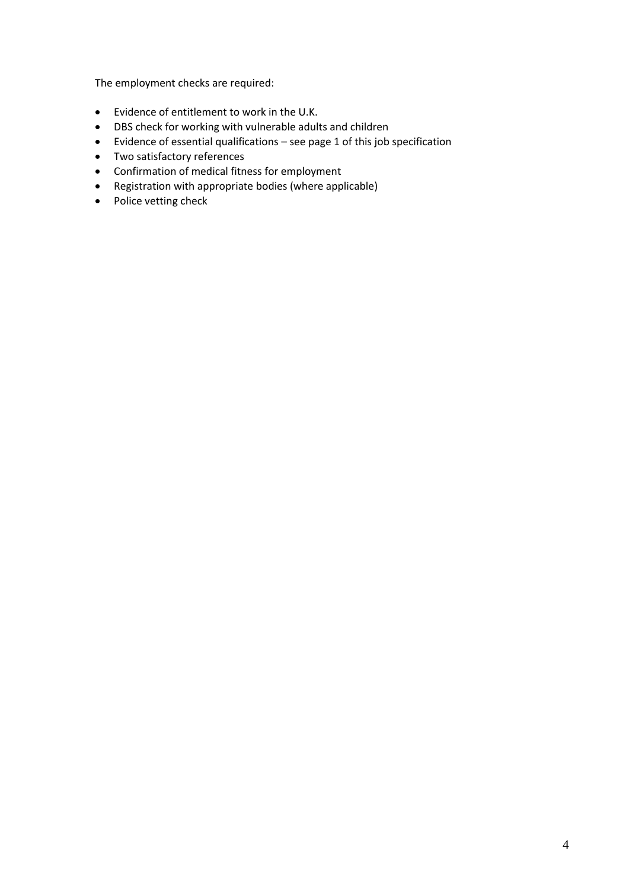The employment checks are required:

- Evidence of entitlement to work in the U.K.
- DBS check for working with vulnerable adults and children
- Evidence of essential qualifications see page 1 of this job specification
- Two satisfactory references
- Confirmation of medical fitness for employment
- Registration with appropriate bodies (where applicable)
- Police vetting check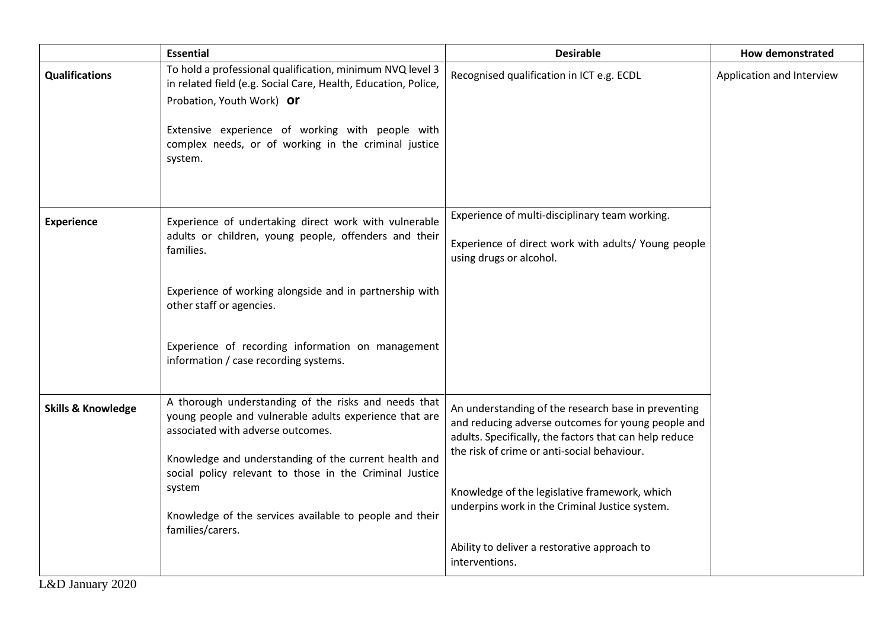|                               | <b>Essential</b>                                                                                                                                                                                                                                                                                                                                                 | <b>Desirable</b>                                                                                                                                                                                                                                                                                                                                                                        | <b>How demonstrated</b>   |
|-------------------------------|------------------------------------------------------------------------------------------------------------------------------------------------------------------------------------------------------------------------------------------------------------------------------------------------------------------------------------------------------------------|-----------------------------------------------------------------------------------------------------------------------------------------------------------------------------------------------------------------------------------------------------------------------------------------------------------------------------------------------------------------------------------------|---------------------------|
| <b>Qualifications</b>         | To hold a professional qualification, minimum NVQ level 3<br>in related field (e.g. Social Care, Health, Education, Police,<br>Probation, Youth Work) Or<br>Extensive experience of working with people with<br>complex needs, or of working in the criminal justice<br>system.                                                                                  | Recognised qualification in ICT e.g. ECDL                                                                                                                                                                                                                                                                                                                                               | Application and Interview |
| <b>Experience</b>             | Experience of undertaking direct work with vulnerable<br>adults or children, young people, offenders and their<br>families.<br>Experience of working alongside and in partnership with<br>other staff or agencies.<br>Experience of recording information on management<br>information / case recording systems.                                                 | Experience of multi-disciplinary team working.<br>Experience of direct work with adults/ Young people<br>using drugs or alcohol.                                                                                                                                                                                                                                                        |                           |
| <b>Skills &amp; Knowledge</b> | A thorough understanding of the risks and needs that<br>young people and vulnerable adults experience that are<br>associated with adverse outcomes.<br>Knowledge and understanding of the current health and<br>social policy relevant to those in the Criminal Justice<br>system<br>Knowledge of the services available to people and their<br>families/carers. | An understanding of the research base in preventing<br>and reducing adverse outcomes for young people and<br>adults. Specifically, the factors that can help reduce<br>the risk of crime or anti-social behaviour.<br>Knowledge of the legislative framework, which<br>underpins work in the Criminal Justice system.<br>Ability to deliver a restorative approach to<br>interventions. |                           |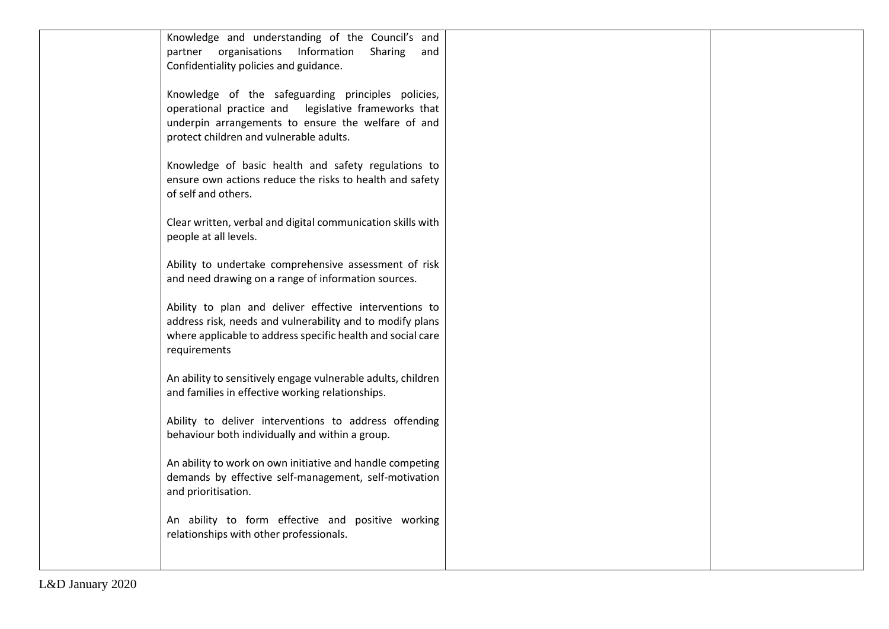| Knowledge and understanding of the Council's and             |  |
|--------------------------------------------------------------|--|
| partner organisations Information<br>Sharing and             |  |
| Confidentiality policies and guidance.                       |  |
|                                                              |  |
| Knowledge of the safeguarding principles policies,           |  |
|                                                              |  |
| operational practice and legislative frameworks that         |  |
| underpin arrangements to ensure the welfare of and           |  |
| protect children and vulnerable adults.                      |  |
|                                                              |  |
| Knowledge of basic health and safety regulations to          |  |
| ensure own actions reduce the risks to health and safety     |  |
| of self and others.                                          |  |
|                                                              |  |
| Clear written, verbal and digital communication skills with  |  |
| people at all levels.                                        |  |
|                                                              |  |
| Ability to undertake comprehensive assessment of risk        |  |
| and need drawing on a range of information sources.          |  |
|                                                              |  |
| Ability to plan and deliver effective interventions to       |  |
| address risk, needs and vulnerability and to modify plans    |  |
| where applicable to address specific health and social care  |  |
| requirements                                                 |  |
|                                                              |  |
| An ability to sensitively engage vulnerable adults, children |  |
| and families in effective working relationships.             |  |
|                                                              |  |
| Ability to deliver interventions to address offending        |  |
| behaviour both individually and within a group.              |  |
|                                                              |  |
| An ability to work on own initiative and handle competing    |  |
| demands by effective self-management, self-motivation        |  |
| and prioritisation.                                          |  |
|                                                              |  |
| An ability to form effective and positive working            |  |
| relationships with other professionals.                      |  |
|                                                              |  |
|                                                              |  |
|                                                              |  |